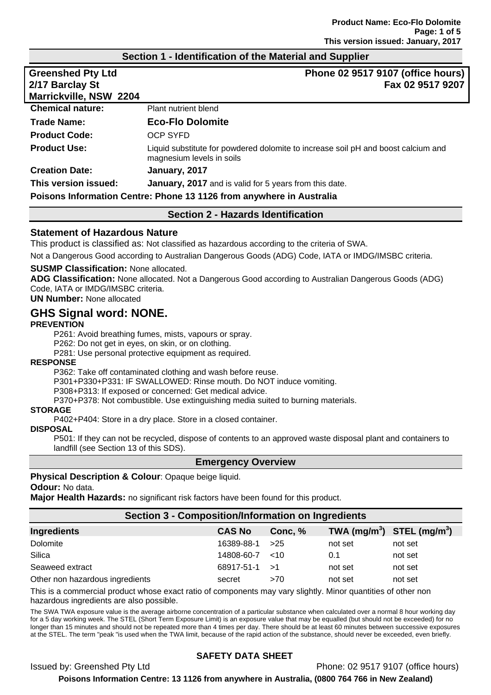#### **Section 1 - Identification of the Material and Supplier**

| <b>Greenshed Pty Ltd</b><br>2/17 Barclay St<br>Marrickville, NSW 2204 | Phone 02 9517 9107 (office hours)<br>Fax 02 9517 9207                                                          |  |
|-----------------------------------------------------------------------|----------------------------------------------------------------------------------------------------------------|--|
| <b>Chemical nature:</b>                                               | Plant nutrient blend                                                                                           |  |
| <b>Trade Name:</b>                                                    | <b>Eco-Flo Dolomite</b>                                                                                        |  |
| <b>Product Code:</b>                                                  | <b>OCP SYFD</b>                                                                                                |  |
| <b>Product Use:</b>                                                   | Liquid substitute for powdered dolomite to increase soil pH and boost calcium and<br>magnesium levels in soils |  |
| <b>Creation Date:</b>                                                 | January, 2017                                                                                                  |  |
| This version issued:                                                  | <b>January, 2017</b> and is valid for 5 years from this date.                                                  |  |
| Poisons Information Centre: Phone 13 1126 from anywhere in Australia  |                                                                                                                |  |

# **Section 2 - Hazards Identification**

#### **Statement of Hazardous Nature**

This product is classified as: Not classified as hazardous according to the criteria of SWA.

Not a Dangerous Good according to Australian Dangerous Goods (ADG) Code, IATA or IMDG/IMSBC criteria.

#### **SUSMP Classification:** None allocated.

**ADG Classification:** None allocated. Not a Dangerous Good according to Australian Dangerous Goods (ADG) Code, IATA or IMDG/IMSBC criteria.

**UN Number:** None allocated

## **GHS Signal word: NONE.**

#### **PREVENTION**

P261: Avoid breathing fumes, mists, vapours or spray.

P262: Do not get in eyes, on skin, or on clothing.

P281: Use personal protective equipment as required.

#### **RESPONSE**

P362: Take off contaminated clothing and wash before reuse.

P301+P330+P331: IF SWALLOWED: Rinse mouth. Do NOT induce vomiting.

P308+P313: If exposed or concerned: Get medical advice.

P370+P378: Not combustible. Use extinguishing media suited to burning materials.

### **STORAGE**

P402+P404: Store in a dry place. Store in a closed container.

#### **DISPOSAL**

P501: If they can not be recycled, dispose of contents to an approved waste disposal plant and containers to landfill (see Section 13 of this SDS).

#### **Emergency Overview**

**Physical Description & Colour**: Opaque beige liquid. **Odour:** No data.

**Major Health Hazards:** no significant risk factors have been found for this product.

#### **Section 3 - Composition/Information on Ingredients**

| <b>Ingredients</b>              | <b>CAS No</b> | Conc, % | TWA (mg/m <sup>3</sup> ) STEL (mg/m <sup>3</sup> ) |         |
|---------------------------------|---------------|---------|----------------------------------------------------|---------|
| Dolomite                        | 16389-88-1    | >25     | not set                                            | not set |
| Silica                          | 14808-60-7    | $~<$ 10 | 0.1                                                | not set |
| Seaweed extract                 | 68917-51-1    | ا<      | not set                                            | not set |
| Other non hazardous ingredients | secret        | >70     | not set                                            | not set |

This is a commercial product whose exact ratio of components may vary slightly. Minor quantities of other non hazardous ingredients are also possible.

The SWA TWA exposure value is the average airborne concentration of a particular substance when calculated over a normal 8 hour working day for a 5 day working week. The STEL (Short Term Exposure Limit) is an exposure value that may be equalled (but should not be exceeded) for no longer than 15 minutes and should not be repeated more than 4 times per day. There should be at least 60 minutes between successive exposures at the STEL. The term "peak "is used when the TWA limit, because of the rapid action of the substance, should never be exceeded, even briefly.

#### **SAFETY DATA SHEET**

Issued by: Greenshed Pty Ltd Phone: 02 9517 9107 (office hours)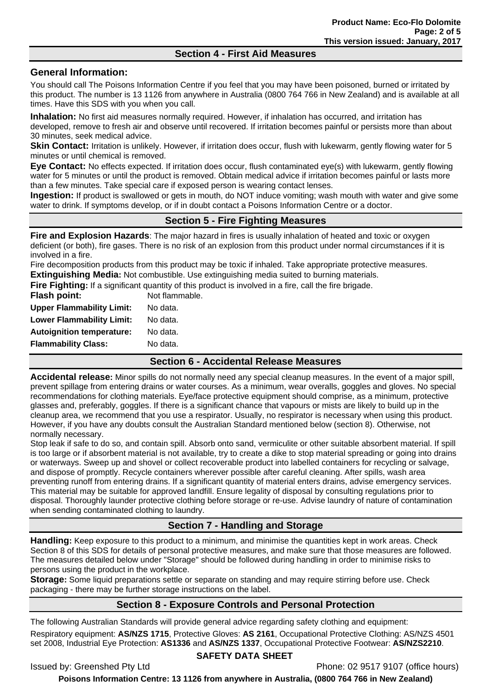#### **Section 4 - First Aid Measures**

#### **General Information:**

You should call The Poisons Information Centre if you feel that you may have been poisoned, burned or irritated by this product. The number is 13 1126 from anywhere in Australia (0800 764 766 in New Zealand) and is available at all times. Have this SDS with you when you call.

**Inhalation:** No first aid measures normally required. However, if inhalation has occurred, and irritation has developed, remove to fresh air and observe until recovered. If irritation becomes painful or persists more than about 30 minutes, seek medical advice.

**Skin Contact:** Irritation is unlikely. However, if irritation does occur, flush with lukewarm, gently flowing water for 5 minutes or until chemical is removed.

**Eye Contact:** No effects expected. If irritation does occur, flush contaminated eye(s) with lukewarm, gently flowing water for 5 minutes or until the product is removed. Obtain medical advice if irritation becomes painful or lasts more than a few minutes. Take special care if exposed person is wearing contact lenses.

**Ingestion:** If product is swallowed or gets in mouth, do NOT induce vomiting; wash mouth with water and give some water to drink. If symptoms develop, or if in doubt contact a Poisons Information Centre or a doctor.

## **Section 5 - Fire Fighting Measures**

**Fire and Explosion Hazards**: The major hazard in fires is usually inhalation of heated and toxic or oxygen deficient (or both), fire gases. There is no risk of an explosion from this product under normal circumstances if it is involved in a fire.

Fire decomposition products from this product may be toxic if inhaled. Take appropriate protective measures.

**Extinguishing Media:** Not combustible. Use extinguishing media suited to burning materials. **Fire Fighting:** If a significant quantity of this product is involved in a fire, call the fire brigade.

|                                  | $\bullet$ $\cdot$<br>$\bullet$ $\bullet$                                                                      |
|----------------------------------|---------------------------------------------------------------------------------------------------------------|
| <b>Flammability Class:</b>       | No data.                                                                                                      |
| <b>Autoignition temperature:</b> | No data.                                                                                                      |
| <b>Lower Flammability Limit:</b> | No data.                                                                                                      |
| <b>Upper Flammability Limit:</b> | No data.                                                                                                      |
| Flash point:                     | Not flammable.                                                                                                |
|                                  | <b>Fire Fighting:</b> If a significant quantity of this product is involved in a life, call the fire bridade. |

#### **Section 6 - Accidental Release Measures**

**Accidental release:** Minor spills do not normally need any special cleanup measures. In the event of a major spill, prevent spillage from entering drains or water courses. As a minimum, wear overalls, goggles and gloves. No special recommendations for clothing materials. Eye/face protective equipment should comprise, as a minimum, protective glasses and, preferably, goggles. If there is a significant chance that vapours or mists are likely to build up in the cleanup area, we recommend that you use a respirator. Usually, no respirator is necessary when using this product. However, if you have any doubts consult the Australian Standard mentioned below (section 8). Otherwise, not normally necessary.

Stop leak if safe to do so, and contain spill. Absorb onto sand, vermiculite or other suitable absorbent material. If spill is too large or if absorbent material is not available, try to create a dike to stop material spreading or going into drains or waterways. Sweep up and shovel or collect recoverable product into labelled containers for recycling or salvage, and dispose of promptly. Recycle containers wherever possible after careful cleaning. After spills, wash area preventing runoff from entering drains. If a significant quantity of material enters drains, advise emergency services. This material may be suitable for approved landfill. Ensure legality of disposal by consulting regulations prior to disposal. Thoroughly launder protective clothing before storage or re-use. Advise laundry of nature of contamination when sending contaminated clothing to laundry.

# **Section 7 - Handling and Storage**

**Handling:** Keep exposure to this product to a minimum, and minimise the quantities kept in work areas. Check Section 8 of this SDS for details of personal protective measures, and make sure that those measures are followed. The measures detailed below under "Storage" should be followed during handling in order to minimise risks to persons using the product in the workplace.

**Storage:** Some liquid preparations settle or separate on standing and may require stirring before use. Check packaging - there may be further storage instructions on the label.

## **Section 8 - Exposure Controls and Personal Protection**

The following Australian Standards will provide general advice regarding safety clothing and equipment:

Respiratory equipment: **AS/NZS 1715**, Protective Gloves: **AS 2161**, Occupational Protective Clothing: AS/NZS 4501 set 2008, Industrial Eye Protection: **AS1336** and **AS/NZS 1337**, Occupational Protective Footwear: **AS/NZS2210**.

#### **SAFETY DATA SHEET**

Issued by: Greenshed Pty Ltd Phone: 02 9517 9107 (office hours)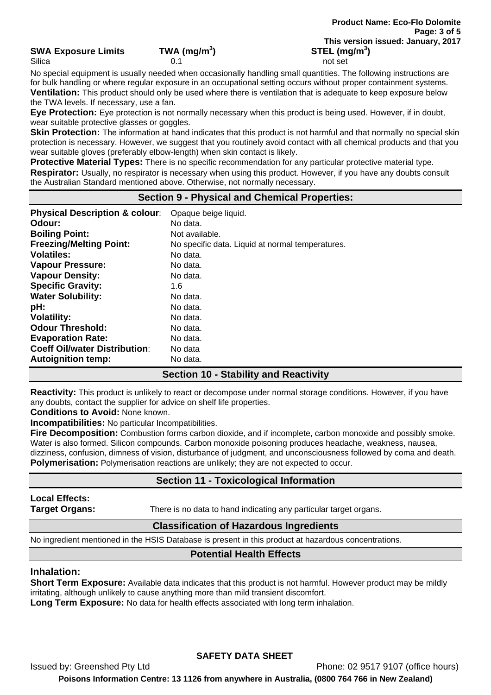#### **SWA Exposure Limits TWA (mg/m<sup>3</sup>**

Silica 0.1 not set

No special equipment is usually needed when occasionally handling small quantities. The following instructions are for bulk handling or where regular exposure in an occupational setting occurs without proper containment systems. **Ventilation:** This product should only be used where there is ventilation that is adequate to keep exposure below the TWA levels. If necessary, use a fan.

**Eye Protection:** Eye protection is not normally necessary when this product is being used. However, if in doubt, wear suitable protective glasses or goggles.

**Skin Protection:** The information at hand indicates that this product is not harmful and that normally no special skin protection is necessary. However, we suggest that you routinely avoid contact with all chemical products and that you wear suitable gloves (preferably elbow-length) when skin contact is likely.

**Protective Material Types:** There is no specific recommendation for any particular protective material type. **Respirator:** Usually, no respirator is necessary when using this product. However, if you have any doubts consult the Australian Standard mentioned above. Otherwise, not normally necessary.

#### **Section 9 - Physical and Chemical Properties:**

| <b>Physical Description &amp; colour:</b> | Opaque beige liquid.                             |
|-------------------------------------------|--------------------------------------------------|
| Odour:                                    | No data.                                         |
| <b>Boiling Point:</b>                     | Not available.                                   |
| <b>Freezing/Melting Point:</b>            | No specific data. Liquid at normal temperatures. |
| Volatiles:                                | No data.                                         |
| <b>Vapour Pressure:</b>                   | No data.                                         |
| <b>Vapour Density:</b>                    | No data.                                         |
| <b>Specific Gravity:</b>                  | 1.6                                              |
| <b>Water Solubility:</b>                  | No data.                                         |
| pH:                                       | No data.                                         |
| <b>Volatility:</b>                        | No data.                                         |
| <b>Odour Threshold:</b>                   | No data.                                         |
| <b>Evaporation Rate:</b>                  | No data.                                         |
| <b>Coeff Oil/water Distribution:</b>      | No data                                          |
| <b>Autoignition temp:</b>                 | No data.                                         |

## **Section 10 - Stability and Reactivity**

**Reactivity:** This product is unlikely to react or decompose under normal storage conditions. However, if you have any doubts, contact the supplier for advice on shelf life properties.

**Conditions to Avoid:** None known.

**Incompatibilities:** No particular Incompatibilities.

**Fire Decomposition:** Combustion forms carbon dioxide, and if incomplete, carbon monoxide and possibly smoke. Water is also formed. Silicon compounds. Carbon monoxide poisoning produces headache, weakness, nausea, dizziness, confusion, dimness of vision, disturbance of judgment, and unconsciousness followed by coma and death. **Polymerisation:** Polymerisation reactions are unlikely; they are not expected to occur.

## **Section 11 - Toxicological Information**

# **Local Effects:**

**Target Organs:** There is no data to hand indicating any particular target organs.

## **Classification of Hazardous Ingredients**

No ingredient mentioned in the HSIS Database is present in this product at hazardous concentrations.

## **Potential Health Effects**

#### **Inhalation:**

**Short Term Exposure:** Available data indicates that this product is not harmful. However product may be mildly irritating, although unlikely to cause anything more than mild transient discomfort.

**Long Term Exposure:** No data for health effects associated with long term inhalation.

## **SAFETY DATA SHEET**

Issued by: Greenshed Pty Ltd Phone: 02 9517 9107 (office hours)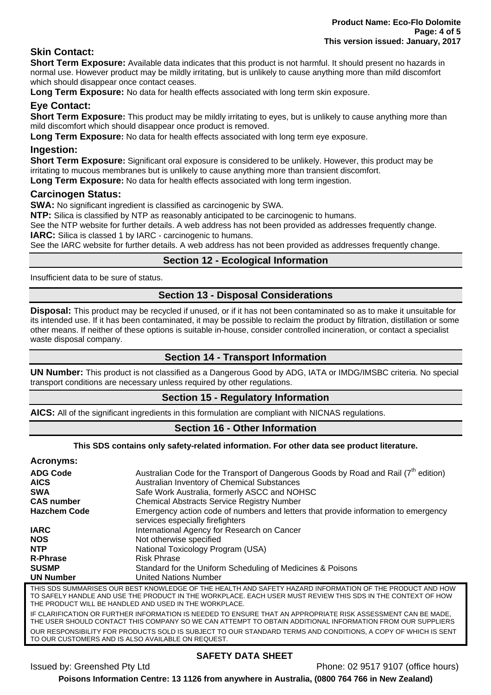## **Skin Contact:**

**Short Term Exposure:** Available data indicates that this product is not harmful. It should present no hazards in normal use. However product may be mildly irritating, but is unlikely to cause anything more than mild discomfort which should disappear once contact ceases.

**Long Term Exposure:** No data for health effects associated with long term skin exposure.

## **Eye Contact:**

**Short Term Exposure:** This product may be mildly irritating to eyes, but is unlikely to cause anything more than mild discomfort which should disappear once product is removed.

**Long Term Exposure:** No data for health effects associated with long term eve exposure.

#### **Ingestion:**

**Short Term Exposure:** Significant oral exposure is considered to be unlikely. However, this product may be irritating to mucous membranes but is unlikely to cause anything more than transient discomfort.

**Long Term Exposure:** No data for health effects associated with long term ingestion.

#### **Carcinogen Status:**

**SWA:** No significant ingredient is classified as carcinogenic by SWA.

**NTP:** Silica is classified by NTP as reasonably anticipated to be carcinogenic to humans.

See the NTP website for further details. A web address has not been provided as addresses frequently change. **IARC:** Silica is classed 1 by IARC - carcinogenic to humans.

See the IARC website for further details. A web address has not been provided as addresses frequently change.

## **Section 12 - Ecological Information**

Insufficient data to be sure of status.

#### **Section 13 - Disposal Considerations**

**Disposal:** This product may be recycled if unused, or if it has not been contaminated so as to make it unsuitable for its intended use. If it has been contaminated, it may be possible to reclaim the product by filtration, distillation or some other means. If neither of these options is suitable in-house, consider controlled incineration, or contact a specialist waste disposal company.

## **Section 14 - Transport Information**

**UN Number:** This product is not classified as a Dangerous Good by ADG, IATA or IMDG/IMSBC criteria. No special transport conditions are necessary unless required by other regulations.

#### **Section 15 - Regulatory Information**

**AICS:** All of the significant ingredients in this formulation are compliant with NICNAS regulations.

## **Section 16 - Other Information**

#### **This SDS contains only safety-related information. For other data see product literature. Acronyms:**  ADG Code Australian Code for the Transport of Dangerous Goods by Road and Rail (7<sup>th</sup> edition) AICS **AUSE AUSTS** Australian Inventory of Chemical Substances **SWA Safe Work Australia, formerly ASCC and NOHSC**<br> **CAS number Chemical Abstracts Service Registry Number Chemical Abstracts Service Registry Number Hazchem Code** Emergency action code of numbers and letters that provide information to emergency services especially firefighters **IARC** International Agency for Research on Cancer **NOS** Not otherwise specified **NTP** National Toxicology Program (USA) **R-Phrase** Risk Phrase **SUSMP** Standard for the Uniform Scheduling of Medicines & Poisons **UN Number** United Nations Number THIS SDS SUMMARISES OUR BEST KNOWLEDGE OF THE HEALTH AND SAFETY HAZARD INFORMATION OF THE PRODUCT AND HOW TO SAFELY HANDLE AND USE THE PRODUCT IN THE WORKPLACE. EACH USER MUST REVIEW THIS SDS IN THE CONTEXT OF HOW THE PRODUCT WILL BE HANDLED AND USED IN THE WORKPLACE. IF CLARIFICATION OR FURTHER INFORMATION IS NEEDED TO ENSURE THAT AN APPROPRIATE RISK ASSESSMENT CAN BE MADE, THE USER SHOULD CONTACT THIS COMPANY SO WE CAN ATTEMPT TO OBTAIN ADDITIONAL INFORMATION FROM OUR SUPPLIERS OUR RESPONSIBILITY FOR PRODUCTS SOLD IS SUBJECT TO OUR STANDARD TERMS AND CONDITIONS, A COPY OF WHICH IS SENT

TO OUR CUSTOMERS AND IS ALSO AVAILABLE ON REQUEST.

## **SAFETY DATA SHEET**

Issued by: Greenshed Pty Ltd Phone: 02 9517 9107 (office hours)